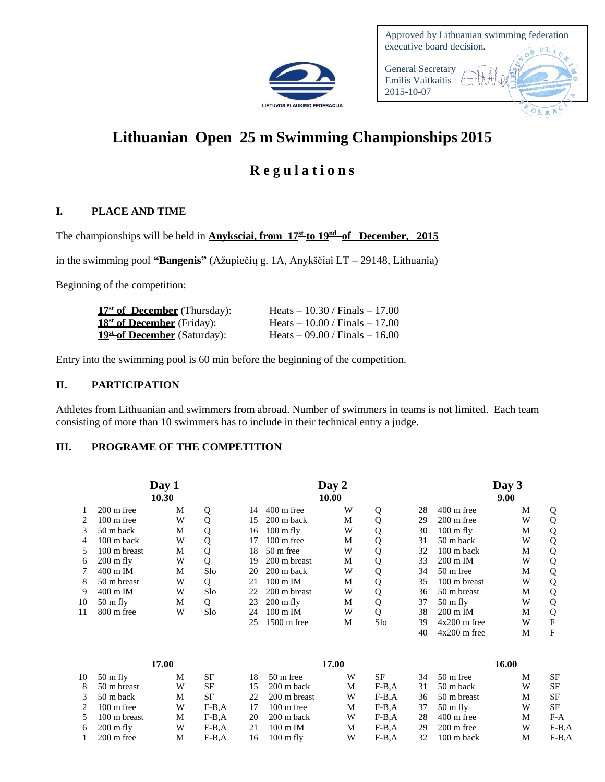

| Approved by Lithuanian swimming federation<br>executive board decision. |  |
|-------------------------------------------------------------------------|--|
| <b>General Secretary</b><br><b>Emilis Vaitkaitis</b><br>2015-10-07      |  |
|                                                                         |  |

# **Lithuanian Open 25 m Swimming Championships 2015**

# **R e g u l a t i o n s**

# **I. PLACE AND TIME**

The championships will be held in **Anyksciai, from 17 st to 19nd of December, 2015**

in the swimming pool **"Bangenis"** (Ažupiečių g. 1A, Anykščiai LT – 29148, Lithuania)

Beginning of the competition:

| $17st$ of December (Thursday):                 | Heats $-10.30 /$ Finals $-17.00$ |  |
|------------------------------------------------|----------------------------------|--|
| $18st$ of December (Friday):                   | Heats $-10.00$ / Finals $-17.00$ |  |
| <b>19<sup>st</sup> of December</b> (Saturday): | Heats $-09.00$ / Finals $-16.00$ |  |

Entry into the swimming pool is 60 min before the beginning of the competition.

### **II. PARTICIPATION**

Athletes from Lithuanian and swimmers from abroad. Number of swimmers in teams is not limited. Each team consisting of more than 10 swimmers has to include in their technical entry a judge.

# **III. PROGRAME OF THE COMPETITION**

| Day 1<br>10.30 |                      |   |     |    |                       | Day 2<br>10.00 | Day 3<br>9.00 |    |                      |   |   |
|----------------|----------------------|---|-----|----|-----------------------|----------------|---------------|----|----------------------|---|---|
|                | $200 \text{ m}$ free | M | Q   | 14 | $400 \text{ m}$ free  | W              | Q             | 28 | $400 \text{ m}$ free | M | Q |
| 2              | $100 \text{ m}$ free | W | Q   | 15 | $200 \text{ m}$ back  | М              |               | 29 | $200 \text{ m}$ free | W | Q |
| $\mathcal{F}$  | 50 m back            | М | Q   | 16 | $100 \text{ m}$ fly   | W              | Q             | 30 | $100 \text{ m}$ fly  | M | Q |
| 4              | $100 \text{ m}$ back | W | Q   | 17 | $100 \text{ m}$ free  | М              | Q             | 31 | 50 m back            | W | Q |
| 5.             | 100 m breast         | M | Q   | 18 | $50m$ free            | W              | Q             | 32 | $100 \text{ m}$ back | M | Q |
| 6              | $200 \text{ m fly}$  | W | Q   | 19 | 200 m breast          | М              | Q             | 33 | $200 \text{ m}$ IM   | W | Q |
|                | $400 \text{ m}$ IM   | M | Slo | 20 | $200 \text{ m}$ back  | W              | Q             | 34 | $50 \text{ m}$ free  | M | Q |
| 8              | 50 m breast          | W | Q   | 21 | $100 \text{ m}$ IM    | М              |               | 35 | 100 m breast         | W | Q |
| 9              | $400 \text{ m}$ IM   | W | Slo | 22 | 200 m breast          | W              | Q             | 36 | 50 m breast          | M | Q |
| 10             | $50 \text{ m}$ fly   | M | Q   | 23 | $200 \text{ m}$ fly   | M              | Q             | 37 | $50 \text{ m fly}$   | W | Q |
| 11             | $800 \text{ m}$ free | W | Slo | 24 | $100 \text{ m}$ IM    | W              | Q             | 38 | $200 \text{ m}$ IM   | M | Q |
|                |                      |   |     | 25 | $1500 \text{ m}$ free | М              | Slo           | 39 | $4x200$ m free       | W | F |
|                |                      |   |     |    |                       |                |               | 40 | $4x200$ m free       | М | F |

| 17.00 |                      |   |         | 17.00 |                      |   |         |    | 16.00                |   |         |
|-------|----------------------|---|---------|-------|----------------------|---|---------|----|----------------------|---|---------|
| 10    | $50 \text{ m fly}$   | М | SF      | 18    | $50 \text{ m}$ free  | W | SF      | 34 | 50 m free            | М | SF      |
| 8     | 50 m breast          | W | SF      | 15    | $200 \text{ m}$ back | М | $F-B.A$ | 31 | 50 m back            | W | SF      |
|       | 50 m back            | М | SF      | 22.   | 200 m breast         | W | $F-B.A$ | 36 | 50 m breast          | М | SF      |
|       | $100 \text{ m}$ free | W | $F-B.A$ | 17    | $100 \text{ m}$ free | М | $F-B.A$ | 37 | $50 \text{ m}$ fly   | W | SF      |
|       | 100 m breast         | М | $F-B.A$ | 20    | 200 m back           | W | $F-B.A$ | 28 | $400 \text{ m}$ free | М | F-A     |
| 6     | $200 \text{ m fly}$  | W | $F-B.A$ | 21    | $100 \text{ m}$ IM   | М | $F-B.A$ | 29 | $200 \text{ m}$ free | W | $F-B.A$ |
|       | $200 \text{ m}$ free | М | $F-B.A$ | 16    | $100 \text{ m}$ fly  | W | $F-B.A$ | 32 | $100 \text{ m}$ back | М | F-B.A   |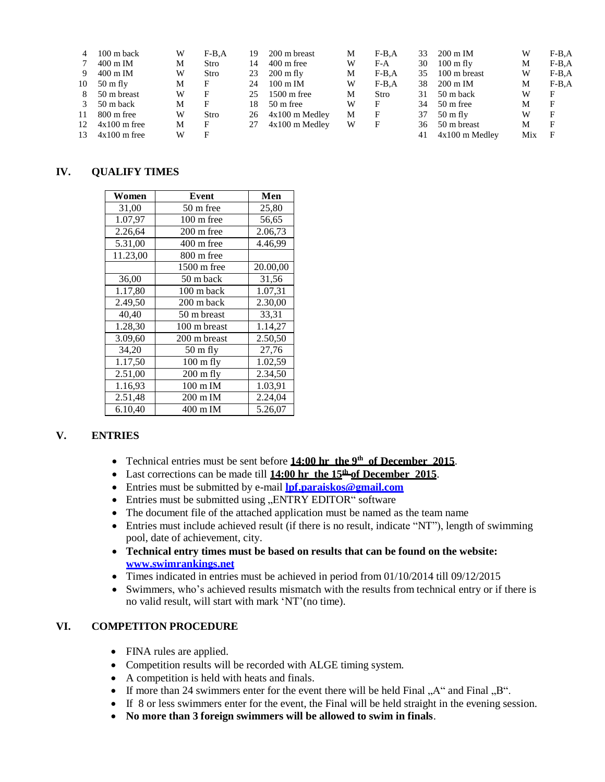| 4             | $100 \text{ m}$ back | W | $F-B.A$ | 19 | 200 m breast          | М | $F-B.A$ | 33 | $200 \text{ m}$ IM  | W   | $F-B.A$ |
|---------------|----------------------|---|---------|----|-----------------------|---|---------|----|---------------------|-----|---------|
|               | $400 \text{ m}$ IM   | Μ | Stro    | 14 | $400 \text{ m}$ free  | W | $F-A$   | 30 | $100 \text{ m fly}$ | М   | $F-B.A$ |
| 9             | $400 \text{ m}$ IM   | W | Stro    | 23 | $200 \text{ m fly}$   | M | $F-B.A$ | 35 | 100 m breast        | W   | $F-B.A$ |
| 10            | $50 \text{ m}$ fly   | М | F       | 24 | $100 \text{ m}$ IM    | W | $F-B.A$ | 38 | 200 m IM            | М   | $F-B.A$ |
| 8             | 50 m breast          | W | F       | 25 | $1500 \text{ m}$ free | M | Stro    | 31 | 50 m back           | W   | F       |
| $\mathcal{R}$ | 50 m back            | М | F       | 18 | $50 \text{ m}$ free   | W | F       | 34 | 50 m free           | М   | F       |
| 11            | 800 m free           | W | Stro    | 26 | $4x100$ m Medley      | М | F       | 37 | $50 \text{ m fly}$  | W   | F       |
| 12            | $4x100$ m free       | Μ | F       | 27 | $4x100$ m Medley      | W | F       | 36 | 50 m breast         | М   | F       |
| 13            | $4x100$ m free       | W |         |    |                       |   |         | 41 | $4x100$ m Medlev    | Mix | F       |

#### **IV. QUALIFY TIMES**

| Women    | Event                | Men      |
|----------|----------------------|----------|
| 31,00    | 50 m free            | 25,80    |
| 1.07,97  | $100 \text{ m}$ free | 56,65    |
| 2.26,64  | 200 m free           | 2.06,73  |
| 5.31,00  | $400 \text{ m}$ free | 4.46,99  |
| 11.23,00 | 800 m free           |          |
|          | 1500 m free          | 20.00,00 |
| 36,00    | 50 m back            | 31,56    |
| 1.17,80  | 100 m back           | 1.07,31  |
| 2.49,50  | 200 m back           | 2.30,00  |
| 40,40    | 50 m breast          | 33,31    |
| 1.28,30  | 100 m breast         | 1.14,27  |
| 3.09,60  | 200 m breast         | 2.50,50  |
| 34,20    | $50 \text{ m fly}$   | 27,76    |
| 1.17,50  | $100 \text{ m fly}$  | 1.02,59  |
| 2.51,00  | $200$ m fly          | 2.34,50  |
| 1.16,93  | 100 m IM             | 1.03,91  |
| 2.51,48  | 200 m IM             | 2.24,04  |
| 6.10,40  | 400 m IM             | 5.26,07  |

# **V. ENTRIES**

- Technical entries must be sent before 14:00 hr the 9<sup>th</sup> of December 2015.
- Last corrections can be made till **14:00 hr** the 15<sup>th</sup> of December 2015.
- Entries must be submitted by e-mail **[lpf.paraiskos@gmail.com](mailto:lpf.paraiskos@gmail.com)**
- Entries must be submitted using "ENTRY EDITOR" software
- The document file of the attached application must be named as the team name
- Entries must include achieved result (if there is no result, indicate "NT"), length of swimming pool, date of achievement, city.
- **Technical entry times must be based on results that can be found on the website: [www.swimrankings.net](http://www.swimrankings.net/)**
- Times indicated in entries must be achieved in period from 01/10/2014 till 09/12/2015
- Swimmers, who's achieved results mismatch with the results from technical entry or if there is no valid result, will start with mark 'NT'(no time).

#### **VI. COMPETITON PROCEDURE**

- FINA rules are applied.
- Competition results will be recorded with ALGE timing system.
- A competition is held with heats and finals.
- If more than 24 swimmers enter for the event there will be held Final  $, A''$  and Final  $, B''$ .
- If 8 or less swimmers enter for the event, the Final will be held straight in the evening session.
- **No more than 3 foreign swimmers will be allowed to swim in finals**.